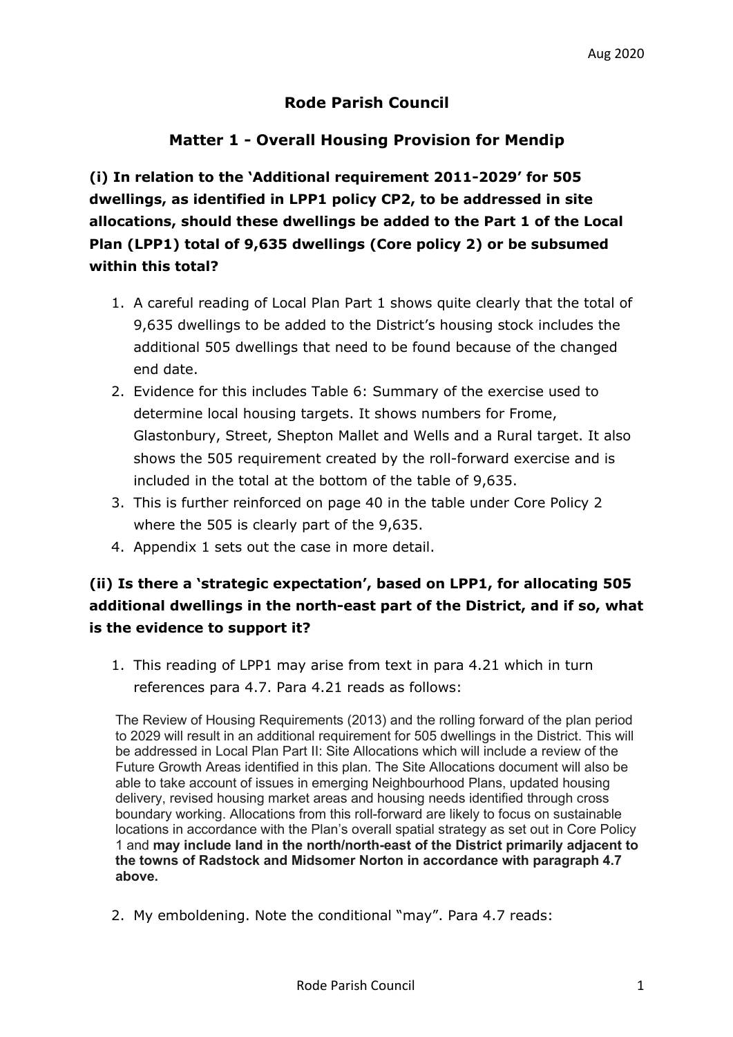### **Rode Parish Council**

### **Matter 1 - Overall Housing Provision for Mendip**

**(i) In relation to the 'Additional requirement 2011-2029' for 505 dwellings, as identified in LPP1 policy CP2, to be addressed in site allocations, should these dwellings be added to the Part 1 of the Local Plan (LPP1) total of 9,635 dwellings (Core policy 2) or be subsumed within this total?** 

- 1. A careful reading of Local Plan Part 1 shows quite clearly that the total of 9,635 dwellings to be added to the District's housing stock includes the additional 505 dwellings that need to be found because of the changed end date.
- 2. Evidence for this includes Table 6: Summary of the exercise used to determine local housing targets. It shows numbers for Frome, Glastonbury, Street, Shepton Mallet and Wells and a Rural target. It also shows the 505 requirement created by the roll-forward exercise and is included in the total at the bottom of the table of 9,635.
- 3. This is further reinforced on page 40 in the table under Core Policy 2 where the 505 is clearly part of the 9,635.
- 4. Appendix 1 sets out the case in more detail.

# **(ii) Is there a 'strategic expectation', based on LPP1, for allocating 505 additional dwellings in the north-east part of the District, and if so, what is the evidence to support it?**

1. This reading of LPP1 may arise from text in para 4.21 which in turn references para 4.7. Para 4.21 reads as follows:

The Review of Housing Requirements (2013) and the rolling forward of the plan period to 2029 will result in an additional requirement for 505 dwellings in the District. This will be addressed in Local Plan Part II: Site Allocations which will include a review of the Future Growth Areas identified in this plan. The Site Allocations document will also be able to take account of issues in emerging Neighbourhood Plans, updated housing delivery, revised housing market areas and housing needs identified through cross boundary working. Allocations from this roll-forward are likely to focus on sustainable locations in accordance with the Plan's overall spatial strategy as set out in Core Policy 1 and **may include land in the north/north-east of the District primarily adjacent to the towns of Radstock and Midsomer Norton in accordance with paragraph 4.7 above.** 

2. My emboldening. Note the conditional "may". Para 4.7 reads: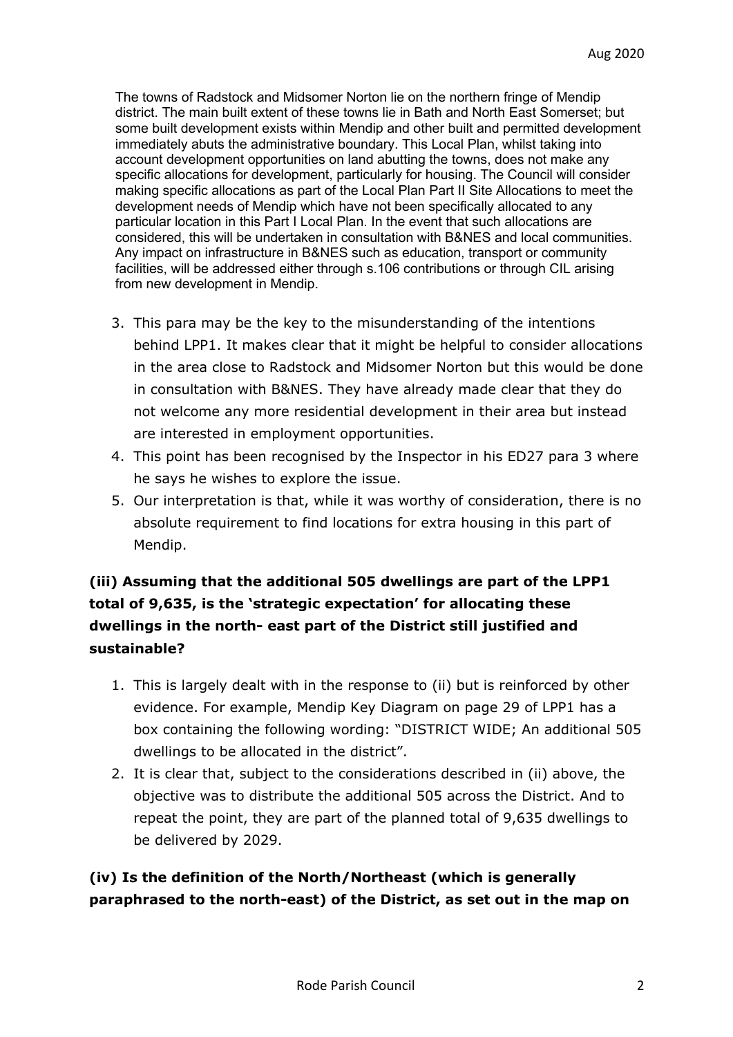The towns of Radstock and Midsomer Norton lie on the northern fringe of Mendip district. The main built extent of these towns lie in Bath and North East Somerset; but some built development exists within Mendip and other built and permitted development immediately abuts the administrative boundary. This Local Plan, whilst taking into account development opportunities on land abutting the towns, does not make any specific allocations for development, particularly for housing. The Council will consider making specific allocations as part of the Local Plan Part II Site Allocations to meet the development needs of Mendip which have not been specifically allocated to any particular location in this Part I Local Plan. In the event that such allocations are considered, this will be undertaken in consultation with B&NES and local communities. Any impact on infrastructure in B&NES such as education, transport or community facilities, will be addressed either through s.106 contributions or through CIL arising from new development in Mendip.

- 3. This para may be the key to the misunderstanding of the intentions behind LPP1. It makes clear that it might be helpful to consider allocations in the area close to Radstock and Midsomer Norton but this would be done in consultation with B&NES. They have already made clear that they do not welcome any more residential development in their area but instead are interested in employment opportunities.
- 4. This point has been recognised by the Inspector in his ED27 para 3 where he says he wishes to explore the issue.
- 5. Our interpretation is that, while it was worthy of consideration, there is no absolute requirement to find locations for extra housing in this part of Mendip.

# **(iii) Assuming that the additional 505 dwellings are part of the LPP1 total of 9,635, is the 'strategic expectation' for allocating these dwellings in the north- east part of the District still justified and sustainable?**

- 1. This is largely dealt with in the response to (ii) but is reinforced by other evidence. For example, Mendip Key Diagram on page 29 of LPP1 has a box containing the following wording: "DISTRICT WIDE; An additional 505 dwellings to be allocated in the district".
- 2. It is clear that, subject to the considerations described in (ii) above, the objective was to distribute the additional 505 across the District. And to repeat the point, they are part of the planned total of 9,635 dwellings to be delivered by 2029.

**(iv) Is the definition of the North/Northeast (which is generally paraphrased to the north-east) of the District, as set out in the map on**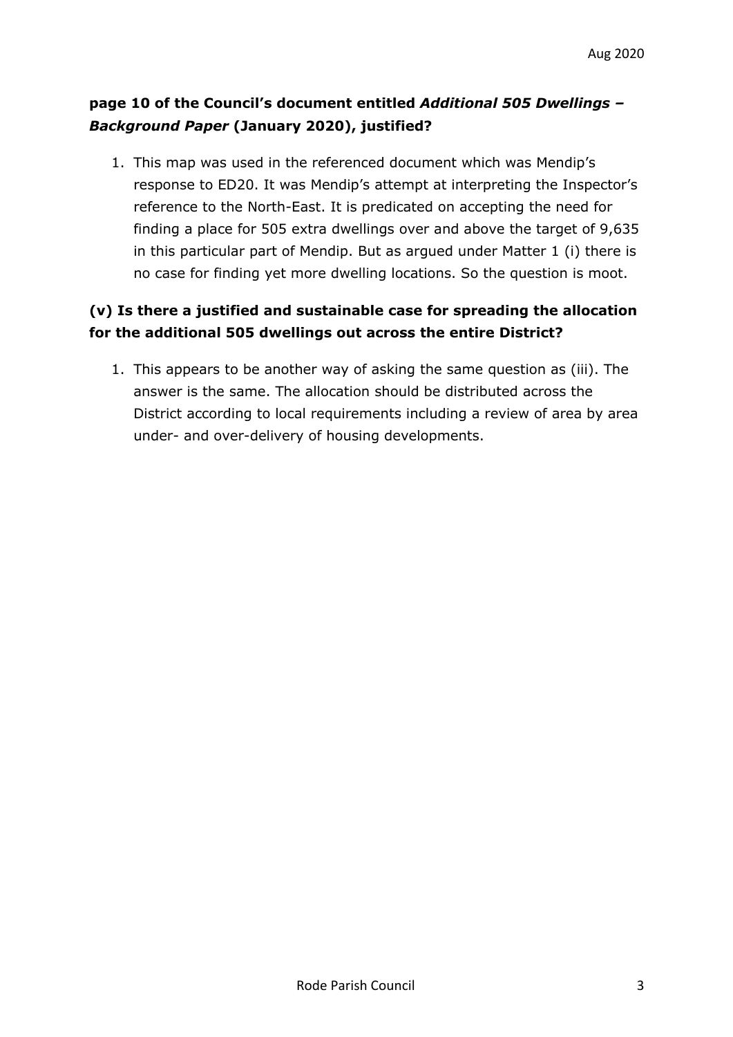# **page 10 of the Council's document entitled** *Additional 505 Dwellings – Background Paper* **(January 2020), justified?**

1. This map was used in the referenced document which was Mendip's response to ED20. It was Mendip's attempt at interpreting the Inspector's reference to the North-East. It is predicated on accepting the need for finding a place for 505 extra dwellings over and above the target of 9,635 in this particular part of Mendip. But as argued under Matter 1 (i) there is no case for finding yet more dwelling locations. So the question is moot.

## **(v) Is there a justified and sustainable case for spreading the allocation for the additional 505 dwellings out across the entire District?**

1. This appears to be another way of asking the same question as (iii). The answer is the same. The allocation should be distributed across the District according to local requirements including a review of area by area under- and over-delivery of housing developments.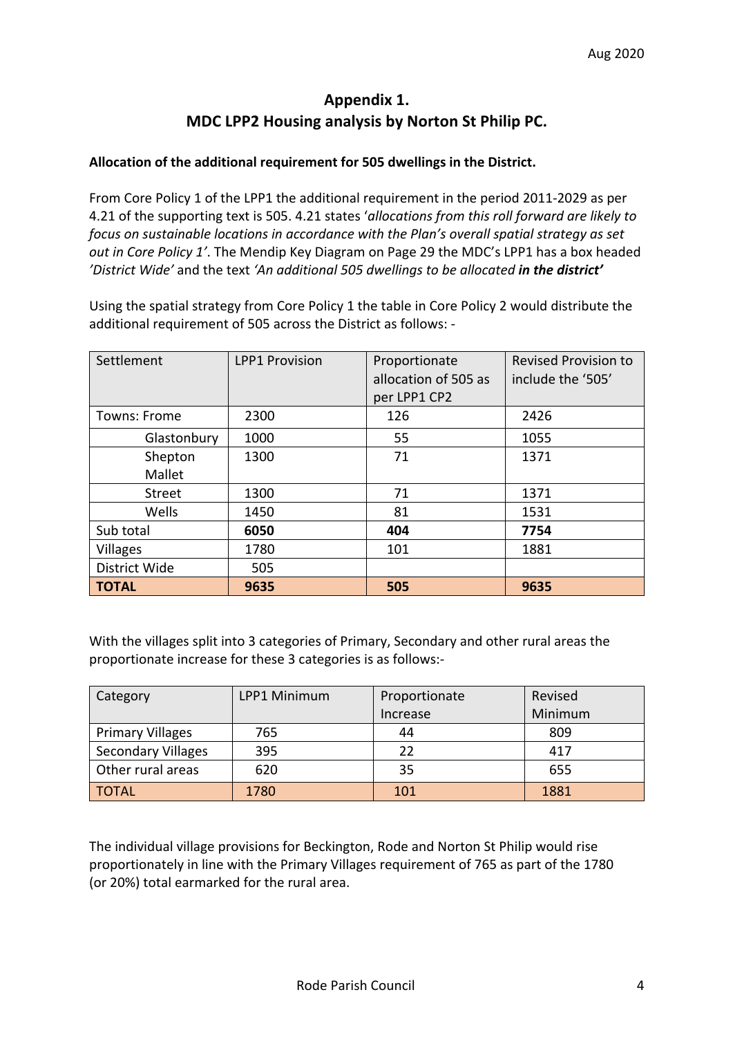### **Appendix 1. MDC LPP2 Housing analysis by Norton St Philip PC.**

#### **Allocation of the additional requirement for 505 dwellings in the District.**

From Core Policy 1 of the LPP1 the additional requirement in the period 2011-2029 as per 4.21 of the supporting text is 505. 4.21 states '*allocations from this roll forward are likely to focus on sustainable locations in accordance with the Plan's overall spatial strategy as set out in Core Policy 1'*. The Mendip Key Diagram on Page 29 the MDC's LPP1 has a box headed *'District Wide'* and the text *'An additional 505 dwellings to be allocated in the district'*

Using the spatial strategy from Core Policy 1 the table in Core Policy 2 would distribute the additional requirement of 505 across the District as follows: -

| Settlement        | <b>LPP1 Provision</b> | Proportionate<br>allocation of 505 as<br>per LPP1 CP2 | <b>Revised Provision to</b><br>include the '505' |
|-------------------|-----------------------|-------------------------------------------------------|--------------------------------------------------|
| Towns: Frome      | 2300                  | 126                                                   | 2426                                             |
| Glastonbury       | 1000                  | 55                                                    | 1055                                             |
| Shepton<br>Mallet | 1300                  | 71                                                    | 1371                                             |
| <b>Street</b>     | 1300                  | 71                                                    | 1371                                             |
| Wells             | 1450                  | 81                                                    | 1531                                             |
| Sub total         | 6050                  | 404                                                   | 7754                                             |
| <b>Villages</b>   | 1780                  | 101                                                   | 1881                                             |
| District Wide     | 505                   |                                                       |                                                  |
| <b>TOTAL</b>      | 9635                  | 505                                                   | 9635                                             |

With the villages split into 3 categories of Primary, Secondary and other rural areas the proportionate increase for these 3 categories is as follows:-

| Category                  | LPP1 Minimum | Proportionate | Revised |
|---------------------------|--------------|---------------|---------|
|                           |              | Increase      | Minimum |
| <b>Primary Villages</b>   | 765          | 44            | 809     |
| <b>Secondary Villages</b> | 395          | 22            | 417     |
| Other rural areas         | 620          | 35            | 655     |
| <b>TOTAL</b>              | 1780         | 101           | 1881    |

The individual village provisions for Beckington, Rode and Norton St Philip would rise proportionately in line with the Primary Villages requirement of 765 as part of the 1780 (or 20%) total earmarked for the rural area.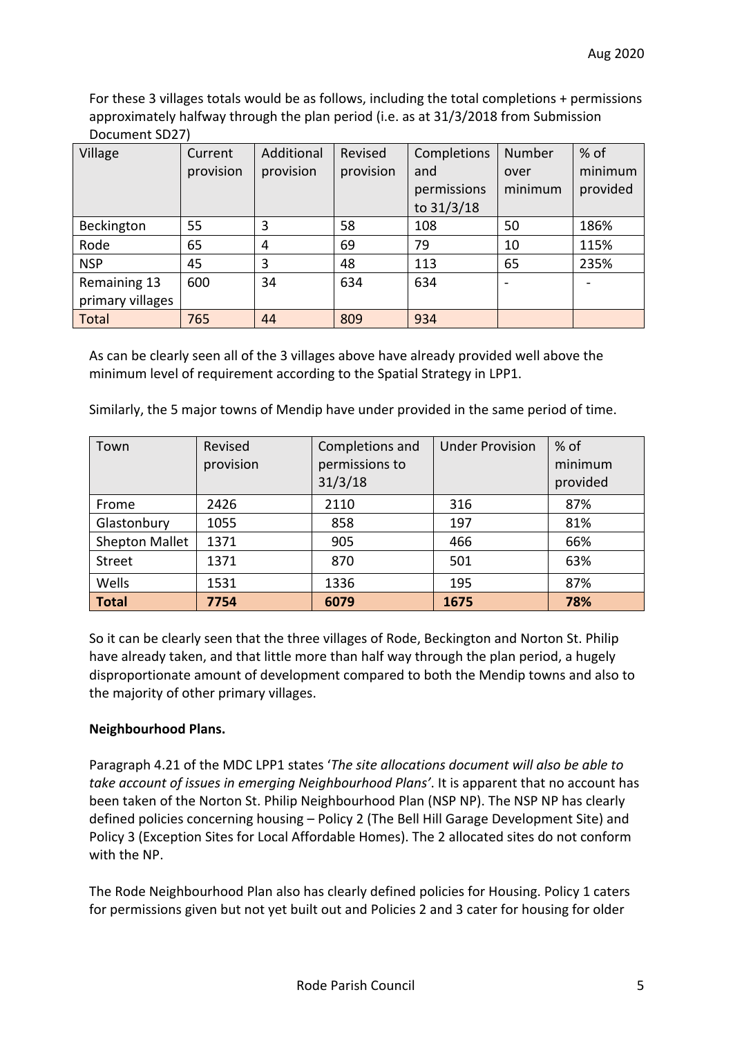For these 3 villages totals would be as follows, including the total completions + permissions approximately halfway through the plan period (i.e. as at 31/3/2018 from Submission Document SD27)

| Village          | Current<br>provision | Additional<br>provision | Revised<br>provision | Completions<br>and<br>permissions<br>to 31/3/18 | <b>Number</b><br>over<br>minimum | % of<br>minimum<br>provided |
|------------------|----------------------|-------------------------|----------------------|-------------------------------------------------|----------------------------------|-----------------------------|
| Beckington       | 55                   | 3                       | 58                   | 108                                             | 50                               | 186%                        |
| Rode             | 65                   | 4                       | 69                   | 79                                              | 10                               | 115%                        |
| <b>NSP</b>       | 45                   | 3                       | 48                   | 113                                             | 65                               | 235%                        |
| Remaining 13     | 600                  | 34                      | 634                  | 634                                             | $\overline{\phantom{0}}$         |                             |
| primary villages |                      |                         |                      |                                                 |                                  |                             |
| <b>Total</b>     | 765                  | 44                      | 809                  | 934                                             |                                  |                             |

As can be clearly seen all of the 3 villages above have already provided well above the minimum level of requirement according to the Spatial Strategy in LPP1.

| Town           | Revised<br>provision | Completions and<br>permissions to<br>31/3/18 | <b>Under Provision</b> | $%$ of<br>minimum<br>provided |
|----------------|----------------------|----------------------------------------------|------------------------|-------------------------------|
| Frome          | 2426                 | 2110                                         | 316                    | 87%                           |
| Glastonbury    | 1055                 | 858                                          | 197                    | 81%                           |
| Shepton Mallet | 1371                 | 905                                          | 466                    | 66%                           |
| <b>Street</b>  | 1371                 | 870                                          | 501                    | 63%                           |
| Wells          | 1531                 | 1336                                         | 195                    | 87%                           |
| <b>Total</b>   | 7754                 | 6079                                         | 1675                   | 78%                           |

Similarly, the 5 major towns of Mendip have under provided in the same period of time.

So it can be clearly seen that the three villages of Rode, Beckington and Norton St. Philip have already taken, and that little more than half way through the plan period, a hugely disproportionate amount of development compared to both the Mendip towns and also to the majority of other primary villages.

### **Neighbourhood Plans.**

Paragraph 4.21 of the MDC LPP1 states '*The site allocations document will also be able to take account of issues in emerging Neighbourhood Plans'*. It is apparent that no account has been taken of the Norton St. Philip Neighbourhood Plan (NSP NP). The NSP NP has clearly defined policies concerning housing – Policy 2 (The Bell Hill Garage Development Site) and Policy 3 (Exception Sites for Local Affordable Homes). The 2 allocated sites do not conform with the NP.

The Rode Neighbourhood Plan also has clearly defined policies for Housing. Policy 1 caters for permissions given but not yet built out and Policies 2 and 3 cater for housing for older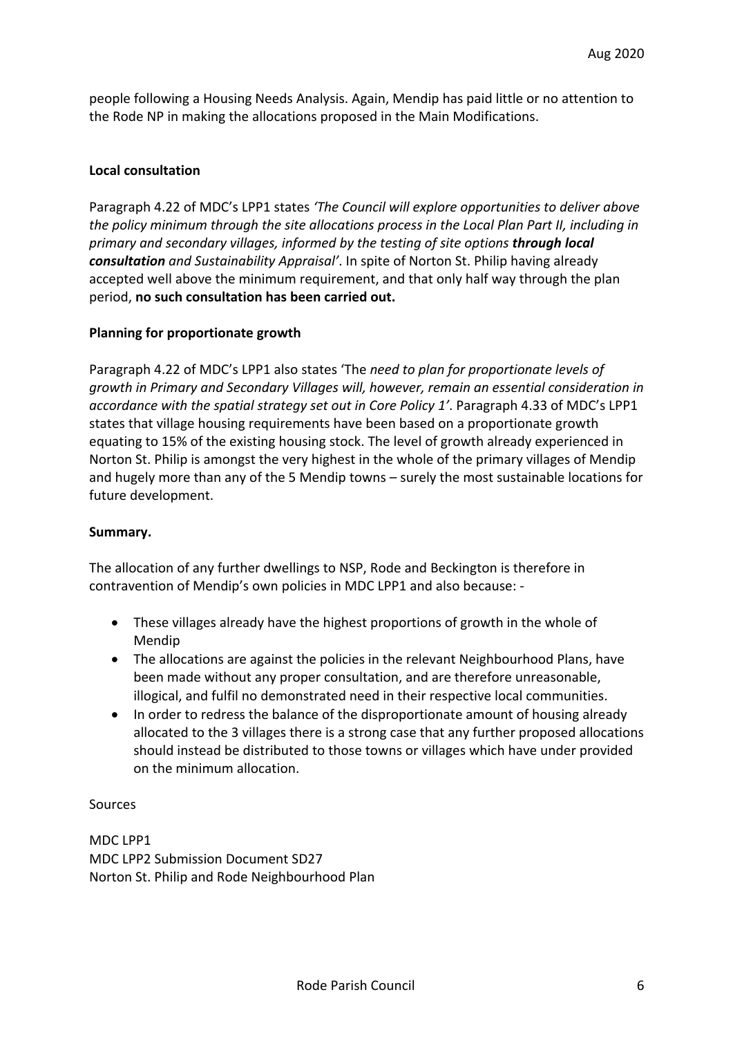people following a Housing Needs Analysis. Again, Mendip has paid little or no attention to the Rode NP in making the allocations proposed in the Main Modifications.

#### **Local consultation**

Paragraph 4.22 of MDC's LPP1 states *'The Council will explore opportunities to deliver above the policy minimum through the site allocations process in the Local Plan Part II, including in primary and secondary villages, informed by the testing of site options through local consultation and Sustainability Appraisal'*. In spite of Norton St. Philip having already accepted well above the minimum requirement, and that only half way through the plan period, **no such consultation has been carried out.**

#### **Planning for proportionate growth**

Paragraph 4.22 of MDC's LPP1 also states 'The *need to plan for proportionate levels of growth in Primary and Secondary Villages will, however, remain an essential consideration in accordance with the spatial strategy set out in Core Policy 1'*. Paragraph 4.33 of MDC's LPP1 states that village housing requirements have been based on a proportionate growth equating to 15% of the existing housing stock. The level of growth already experienced in Norton St. Philip is amongst the very highest in the whole of the primary villages of Mendip and hugely more than any of the 5 Mendip towns – surely the most sustainable locations for future development.

#### **Summary.**

The allocation of any further dwellings to NSP, Rode and Beckington is therefore in contravention of Mendip's own policies in MDC LPP1 and also because: -

- These villages already have the highest proportions of growth in the whole of Mendip
- The allocations are against the policies in the relevant Neighbourhood Plans, have been made without any proper consultation, and are therefore unreasonable, illogical, and fulfil no demonstrated need in their respective local communities.
- In order to redress the balance of the disproportionate amount of housing already allocated to the 3 villages there is a strong case that any further proposed allocations should instead be distributed to those towns or villages which have under provided on the minimum allocation.

#### Sources

MDC LPP1 MDC LPP2 Submission Document SD27 Norton St. Philip and Rode Neighbourhood Plan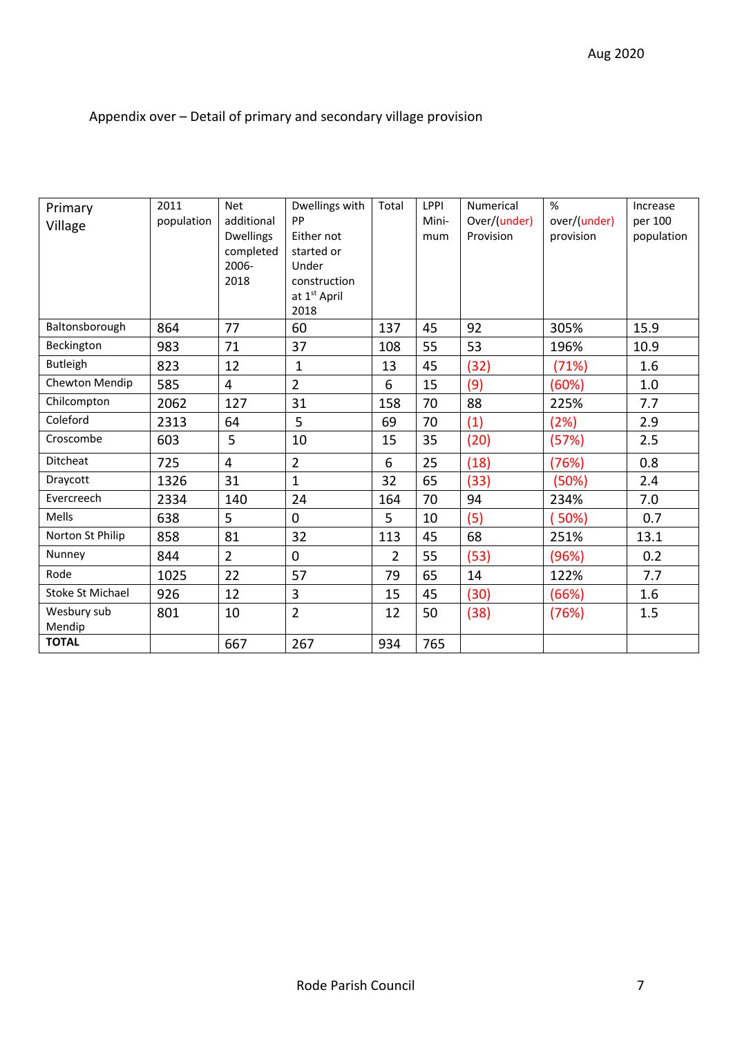# Appendix over – Detail of primary and secondary village provision

| Primary<br>Village      | 2011<br>population | <b>Net</b><br>additional<br><b>Dwellings</b><br>completed | Dwellings with<br>PP<br>Either not<br>started or | Total          | <b>LPPI</b><br>Mini-<br>mum | Numerical<br>Over/(under)<br>Provision | %<br>over/(under)<br>provision | Increase<br>per 100<br>population |
|-------------------------|--------------------|-----------------------------------------------------------|--------------------------------------------------|----------------|-----------------------------|----------------------------------------|--------------------------------|-----------------------------------|
|                         |                    | 2006-<br>2018                                             | Under<br>construction<br>at 1st April<br>2018    |                |                             |                                        |                                |                                   |
| Baltonsborough          | 864                | 77                                                        | 60                                               | 137            | 45                          | 92                                     | 305%                           | 15.9                              |
| Beckington              | 983                | 71                                                        | 37                                               | 108            | 55                          | 53                                     | 196%                           | 10.9                              |
| <b>Butleigh</b>         | 823                | 12                                                        | 1                                                | 13             | 45                          | (32)                                   | (71%)                          | 1.6                               |
| Chewton Mendip          | 585                | 4                                                         | $\overline{2}$                                   | 6              | 15                          | (9)                                    | (60%)                          | 1.0                               |
| Chilcompton             | 2062               | 127                                                       | 31                                               | 158            | 70                          | 88                                     | 225%                           | 7.7                               |
| Coleford                | 2313               | 64                                                        | 5                                                | 69             | 70                          | (1)                                    | (2%)                           | 2.9                               |
| Croscombe               | 603                | 5                                                         | 10                                               | 15             | 35                          | (20)                                   | (57%)                          | 2.5                               |
| Ditcheat                | 725                | $\overline{4}$                                            | $\overline{2}$                                   | 6              | 25                          | (18)                                   | (76%)                          | 0.8                               |
| Draycott                | 1326               | 31                                                        | $\mathbf{1}$                                     | 32             | 65                          | (33)                                   | (50%)                          | 2.4                               |
| Evercreech              | 2334               | 140                                                       | 24                                               | 164            | 70                          | 94                                     | 234%                           | 7.0                               |
| Mells                   | 638                | 5                                                         | $\Omega$                                         | 5              | 10                          | (5)                                    | 50%)                           | 0.7                               |
| Norton St Philip        | 858                | 81                                                        | 32                                               | 113            | 45                          | 68                                     | 251%                           | 13.1                              |
| Nunney                  | 844                | $\overline{2}$                                            | $\mathbf 0$                                      | $\overline{2}$ | 55                          | (53)                                   | (96%)                          | 0.2                               |
| Rode                    | 1025               | 22                                                        | 57                                               | 79             | 65                          | 14                                     | 122%                           | 7.7                               |
| <b>Stoke St Michael</b> | 926                | 12                                                        | 3                                                | 15             | 45                          | (30)                                   | (66%)                          | 1.6                               |
| Wesbury sub<br>Mendip   | 801                | 10                                                        | $\overline{2}$                                   | 12             | 50                          | (38)                                   | (76%)                          | 1.5                               |
| <b>TOTAL</b>            |                    | 667                                                       | 267                                              | 934            | 765                         |                                        |                                |                                   |